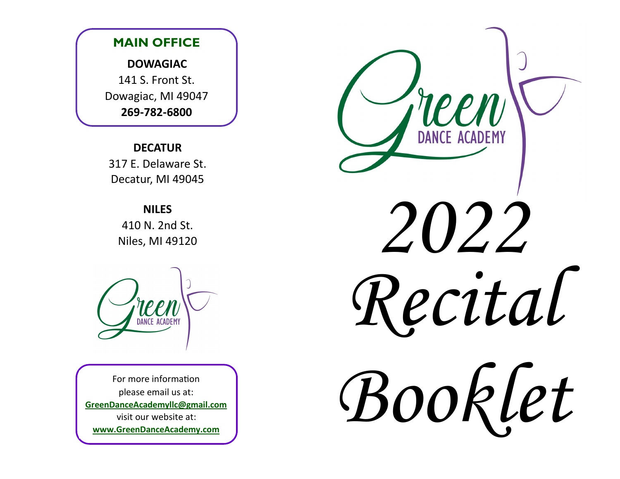

### **DECATUR**

317 E. Delaware St. Decatur, MI 49045

### **NILES**

410 N. 2nd St. Niles, MI 49120

For more information please email us at: **GreenDanceAcademyllc@gmail.com** visit our website at: **www.GreenDanceAcademy.com**

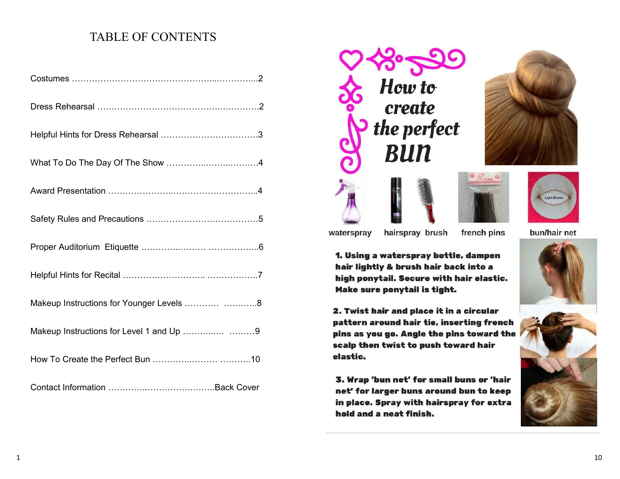## TABLE OF CONTENTS

| Makeup Instructions for Younger Levels  8 |
|-------------------------------------------|
| Makeup Instructions for Level 1 and Up  9 |
|                                           |
|                                           |



hairspray brush

1. Using a waterspray bottle, dampen hair lightly & brush hair back into a high ponytail. Secure with hair elastic.

2. Twist hair and place it in a circular

scalp then twist to push toward hair





Make sure ponytail is tight.

hold and a neat finish.

waterspray

elastic.





french pins



bun/hair net

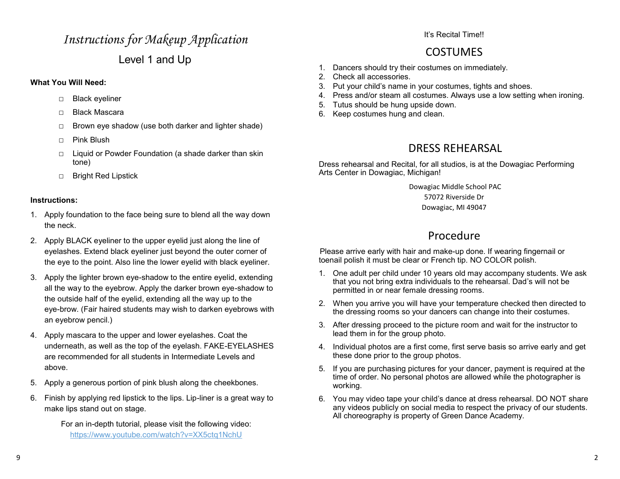## *Instructions for Makeup Application*  Level 1 and Up

#### **What You Will Need:**

- □ Black eyeliner
- □ Black Mascara
- □ Brown eye shadow (use both darker and lighter shade)
- $\Box$  Pink Blush
- □ Liquid or Powder Foundation (a shade darker than skin tone)
- □ Bright Red Lipstick

#### **Instructions:**

- 1. Apply foundation to the face being sure to blend all the way down the neck.
- 2. Apply BLACK eyeliner to the upper eyelid just along the line of eyelashes. Extend black eyeliner just beyond the outer corner of the eye to the point. Also line the lower eyelid with black eyeliner.
- 3. Apply the lighter brown eye-shadow to the entire eyelid, extending all the way to the eyebrow. Apply the darker brown eye-shadow to the outside half of the eyelid, extending all the way up to the eye-brow. (Fair haired students may wish to darken eyebrows with an eyebrow pencil.)
- 4. Apply mascara to the upper and lower eyelashes. Coat the underneath, as well as the top of the eyelash. FAKE-EYELASHES are recommended for all students in Intermediate Levels and above.
- 5. Apply a generous portion of pink blush along the cheekbones.
- 6. Finish by applying red lipstick to the lips. Lip-liner is a great way to make lips stand out on stage.

 For an in-depth tutorial, please visit the following video: https://www.youtube.com/watch?v=XX5ctq1NchU

It's Recital Time!!

## COSTUMES

- 1. Dancers should try their costumes on immediately.
- 2. Check all accessories.
- 3. Put your child's name in your costumes, tights and shoes.
- 4. Press and/or steam all costumes. Always use a low setting when ironing.
- 5. Tutus should be hung upside down.
- 6. Keep costumes hung and clean.

## DRESS REHEARSAL

Dress rehearsal and Recital, for all studios, is at the Dowagiac Performing Arts Center in Dowagiac, Michigan!

Dowagiac Middle School PAC

57072 Riverside Dr

Dowagiac, MI 49047

## Procedure

Please arrive early with hair and make-up done. If wearing fingernail or toenail polish it must be clear or French tip. NO COLOR polish.

- 1. One adult per child under 10 years old may accompany students. We ask that you not bring extra individuals to the rehearsal. Dad's will not be permitted in or near female dressing rooms.
- 2. When you arrive you will have your temperature checked then directed to the dressing rooms so your dancers can change into their costumes.
- 3. After dressing proceed to the picture room and wait for the instructor to lead them in for the group photo.
- 4. Individual photos are a first come, first serve basis so arrive early and get these done prior to the group photos.
- 5. If you are purchasing pictures for your dancer, payment is required at the time of order. No personal photos are allowed while the photographer is working.
- 6. You may video tape your child's dance at dress rehearsal. DO NOT share any videos publicly on social media to respect the privacy of our students. All choreography is property of Green Dance Academy.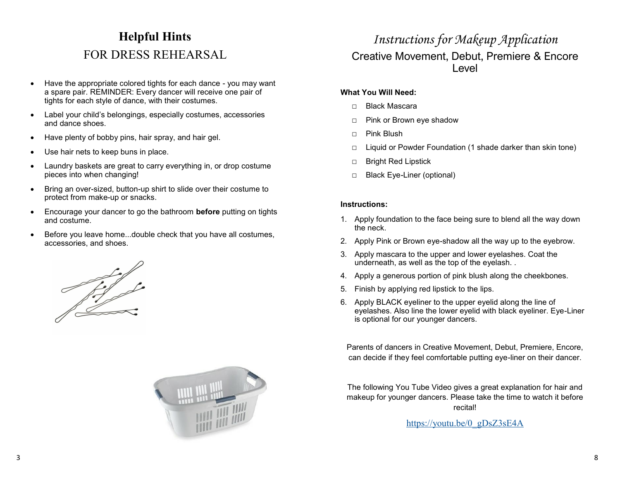## **Helpful Hints**  FOR DRESS REHEARSAL

- Have the appropriate colored tights for each dance you may want a spare pair. REMINDER: Every dancer will receive one pair of tights for each style of dance, with their costumes.
- Label your child's belongings, especially costumes, accessories and dance shoes.
- Have plenty of bobby pins, hair spray, and hair gel.
- Use hair nets to keep buns in place.
- Laundry baskets are great to carry everything in, or drop costume pieces into when changing!
- Bring an over-sized, button-up shirt to slide over their costume to protect from make-up or snacks.
- Encourage your dancer to go the bathroom **before** putting on tights and costume.
- Before you leave home...double check that you have all costumes, accessories, and shoes.





## *Instructions for Makeup Application*  Creative Movement, Debut, Premiere & Encore Level

#### **What You Will Need:**

- □ Black Mascara
- □ Pink or Brown eye shadow
- □ Pink Blush
- □ Liquid or Powder Foundation (1 shade darker than skin tone)
- □ Bright Red Lipstick
- □ Black Eye-Liner (optional)

#### **Instructions:**

- 1. Apply foundation to the face being sure to blend all the way down the neck.
- 2. Apply Pink or Brown eye-shadow all the way up to the eyebrow.
- 3. Apply mascara to the upper and lower eyelashes. Coat the underneath, as well as the top of the eyelash. .
- 4. Apply a generous portion of pink blush along the cheekbones.
- 5. Finish by applying red lipstick to the lips.
- 6. Apply BLACK eyeliner to the upper eyelid along the line of eyelashes. Also line the lower eyelid with black eyeliner. Eye-Liner is optional for our younger dancers.

Parents of dancers in Creative Movement, Debut, Premiere, Encore, can decide if they feel comfortable putting eye-liner on their dancer.

The following You Tube Video gives a great explanation for hair and makeup for younger dancers. Please take the time to watch it before recital!

https://youtu.be/0\_gDsZ3sE4A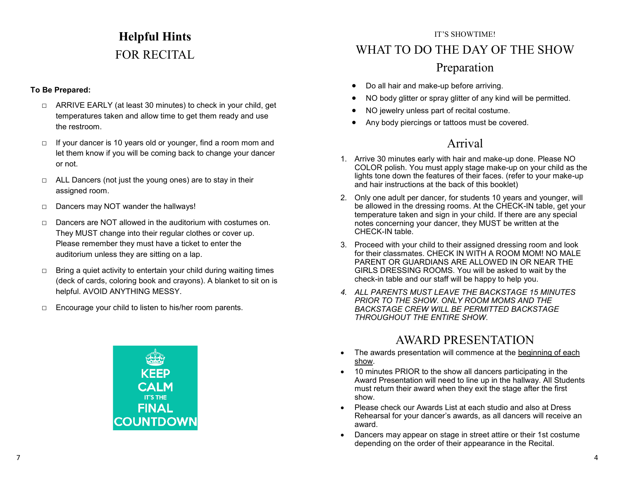# **Helpful Hints**  FOR RECITAL

#### **To Be Prepared:**

- □ ARRIVE EARLY (at least 30 minutes) to check in your child, get temperatures taken and allow time to get them ready and use the restroom.
- □ If your dancer is 10 years old or younger, find a room mom and let them know if you will be coming back to change your dancer or not.
- $\Box$  ALL Dancers (not just the young ones) are to stay in their assigned room.
- □ Dancers may NOT wander the hallways!
- □ Dancers are NOT allowed in the auditorium with costumes on. They MUST change into their regular clothes or cover up. Please remember they must have a ticket to enter the auditorium unless they are sitting on a lap.
- $\Box$  Bring a quiet activity to entertain your child during waiting times (deck of cards, coloring book and crayons). A blanket to sit on is helpful. AVOID ANYTHING MESSY.
- □ Encourage your child to listen to his/her room parents.



#### IT'S SHOWTIME!

## WHAT TO DO THE DAY OF THE SHOW

## Preparation

- Do all hair and make-up before arriving.
- NO body glitter or spray glitter of any kind will be permitted.
- NO jewelry unless part of recital costume.
- Any body piercings or tattoos must be covered.

## Arrival

- 1. Arrive 30 minutes early with hair and make-up done. Please NO COLOR polish. You must apply stage make-up on your child as the lights tone down the features of their faces. (refer to your make-up and hair instructions at the back of this booklet)
- 2. Only one adult per dancer, for students 10 years and younger, will be allowed in the dressing rooms. At the CHECK-IN table, get your temperature taken and sign in your child. If there are any special notes concerning your dancer, they MUST be written at the CHECK-IN table.
- 3. Proceed with your child to their assigned dressing room and look for their classmates. CHECK IN WITH A ROOM MOM! NO MALE PARENT OR GUARDIANS ARE ALLOWED IN OR NEAR THE GIRLS DRESSING ROOMS. You will be asked to wait by the check-in table and our staff will be happy to help you.
- *4. ALL PARENTS MUST LEAVE THE BACKSTAGE 15 MINUTES PRIOR TO THE SHOW. ONLY ROOM MOMS AND THE BACKSTAGE CREW WILL BE PERMITTED BACKSTAGE THROUGHOUT THE ENTIRE SHOW.*

## AWARD PRESENTATION

- The awards presentation will commence at the beginning of each show.
- 10 minutes PRIOR to the show all dancers participating in the Award Presentation will need to line up in the hallway. All Students must return their award when they exit the stage after the first show.
- Please check our Awards List at each studio and also at Dress Rehearsal for your dancer's awards, as all dancers will receive an award.
- Dancers may appear on stage in street attire or their 1st costume depending on the order of their appearance in the Recital.